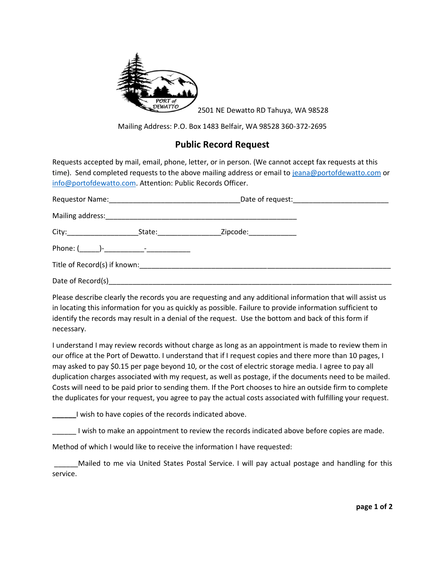

2501 NE Dewatto RD Tahuya, WA 98528

Mailing Address: P.O. Box 1483 Belfair, WA 98528 360-372-2695

## **Public Record Request**

Requests accepted by mail, email, phone, letter, or in person. (We cannot accept fax requests at this time). Send completed requests to the above mailing address or email to [jeana@portofdewatto.com](mailto:jeana@portofdewatto.com) or [info@portofdewatto.com.](mailto:info@portofdewatto.com) Attention: Public Records Officer.

| City:_________________________ | State: and the state of the state of the state of the state of the state of the state of the state of the state | Zipcode: National Contract of the Second Second Second Second Second Second Second Second Second Second Second |  |
|--------------------------------|-----------------------------------------------------------------------------------------------------------------|----------------------------------------------------------------------------------------------------------------|--|
|                                |                                                                                                                 |                                                                                                                |  |
|                                |                                                                                                                 | Title of Record(s) if known: Title of Record(s) if known:                                                      |  |
|                                |                                                                                                                 |                                                                                                                |  |

Please describe clearly the records you are requesting and any additional information that will assist us in locating this information for you as quickly as possible. Failure to provide information sufficient to identify the records may result in a denial of the request. Use the bottom and back of this form if necessary.

I understand I may review records without charge as long as an appointment is made to review them in our office at the Port of Dewatto. I understand that if I request copies and there more than 10 pages, I may asked to pay \$0.15 per page beyond 10, or the cost of electric storage media. I agree to pay all duplication charges associated with my request, as well as postage, if the documents need to be mailed. Costs will need to be paid prior to sending them. If the Port chooses to hire an outside firm to complete the duplicates for your request, you agree to pay the actual costs associated with fulfilling your request.

**\_\_\_\_\_\_**I wish to have copies of the records indicated above.

\_\_\_\_\_\_ I wish to make an appointment to review the records indicated above before copies are made.

Method of which I would like to receive the information I have requested:

Mailed to me via United States Postal Service. I will pay actual postage and handling for this service.